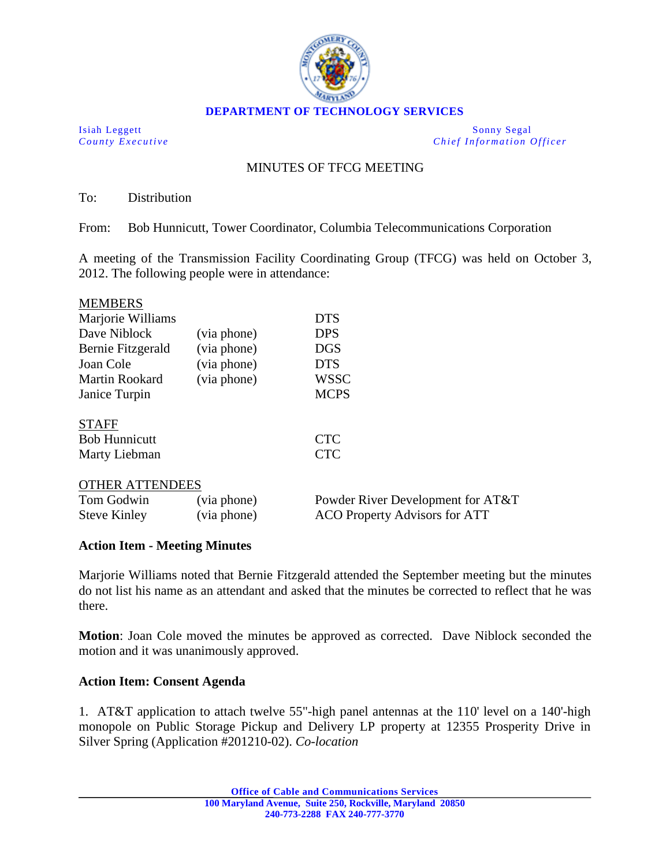

Isiah Leggett Sonny Segal *County Executive Chief Information Officer*

## MINUTES OF TFCG MEETING

To: Distribution

From: Bob Hunnicutt, Tower Coordinator, Columbia Telecommunications Corporation

A meeting of the Transmission Facility Coordinating Group (TFCG) was held on October 3, 2012. The following people were in attendance:

| <b>MEMBERS</b>         |             |                                   |
|------------------------|-------------|-----------------------------------|
| Marjorie Williams      |             | <b>DTS</b>                        |
| Dave Niblock           | (via phone) | <b>DPS</b>                        |
| Bernie Fitzgerald      | (via phone) | <b>DGS</b>                        |
| Joan Cole              | (via phone) | <b>DTS</b>                        |
| <b>Martin Rookard</b>  | (via phone) | <b>WSSC</b>                       |
| Janice Turpin          |             | <b>MCPS</b>                       |
| <b>STAFF</b>           |             |                                   |
| <b>Bob Hunnicutt</b>   |             | <b>CTC</b>                        |
| Marty Liebman          |             | <b>CTC</b>                        |
| <b>OTHER ATTENDEES</b> |             |                                   |
| Tom Godwin             | (via phone) | Powder River Development for AT&T |

Steve Kinley (via phone) ACO Property Advisors for ATT

## **Action Item - Meeting Minutes**

Marjorie Williams noted that Bernie Fitzgerald attended the September meeting but the minutes do not list his name as an attendant and asked that the minutes be corrected to reflect that he was there.

**Motion**: Joan Cole moved the minutes be approved as corrected. Dave Niblock seconded the motion and it was unanimously approved.

## **Action Item: Consent Agenda**

1. AT&T application to attach twelve 55"-high panel antennas at the 110' level on a 140'-high monopole on Public Storage Pickup and Delivery LP property at 12355 Prosperity Drive in Silver Spring (Application #201210-02). *Co-location*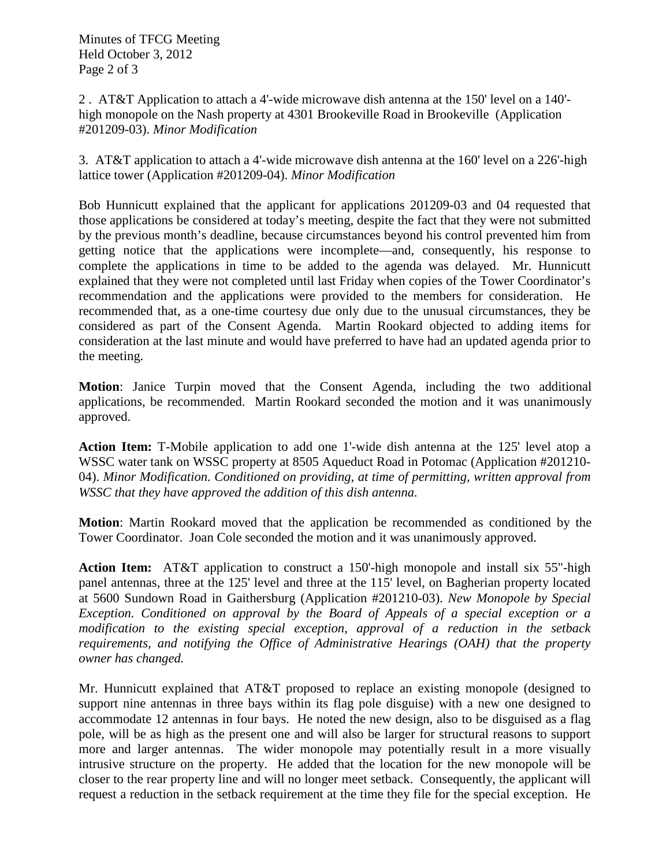2 . AT&T Application to attach a 4'-wide microwave dish antenna at the 150' level on a 140' high monopole on the Nash property at 4301 Brookeville Road in Brookeville (Application #201209-03). *Minor Modification*

3. AT&T application to attach a 4'-wide microwave dish antenna at the 160' level on a 226'-high lattice tower (Application #201209-04). *Minor Modification*

Bob Hunnicutt explained that the applicant for applications 201209-03 and 04 requested that those applications be considered at today's meeting, despite the fact that they were not submitted by the previous month's deadline, because circumstances beyond his control prevented him from getting notice that the applications were incomplete—and, consequently, his response to complete the applications in time to be added to the agenda was delayed. Mr. Hunnicutt explained that they were not completed until last Friday when copies of the Tower Coordinator's recommendation and the applications were provided to the members for consideration. He recommended that, as a one-time courtesy due only due to the unusual circumstances, they be considered as part of the Consent Agenda. Martin Rookard objected to adding items for consideration at the last minute and would have preferred to have had an updated agenda prior to the meeting.

**Motion**: Janice Turpin moved that the Consent Agenda, including the two additional applications, be recommended. Martin Rookard seconded the motion and it was unanimously approved.

**Action Item:** T-Mobile application to add one 1'-wide dish antenna at the 125' level atop a WSSC water tank on WSSC property at 8505 Aqueduct Road in Potomac (Application #201210- 04). *Minor Modification. Conditioned on providing, at time of permitting, written approval from WSSC that they have approved the addition of this dish antenna.* 

**Motion**: Martin Rookard moved that the application be recommended as conditioned by the Tower Coordinator. Joan Cole seconded the motion and it was unanimously approved.

**Action Item:** AT&T application to construct a 150'-high monopole and install six 55"-high panel antennas, three at the 125' level and three at the 115' level, on Bagherian property located at 5600 Sundown Road in Gaithersburg (Application #201210-03). *New Monopole by Special Exception. Conditioned on approval by the Board of Appeals of a special exception or a modification to the existing special exception, approval of a reduction in the setback requirements, and notifying the Office of Administrative Hearings (OAH) that the property owner has changed.* 

Mr. Hunnicutt explained that AT&T proposed to replace an existing monopole (designed to support nine antennas in three bays within its flag pole disguise) with a new one designed to accommodate 12 antennas in four bays. He noted the new design, also to be disguised as a flag pole, will be as high as the present one and will also be larger for structural reasons to support more and larger antennas. The wider monopole may potentially result in a more visually intrusive structure on the property. He added that the location for the new monopole will be closer to the rear property line and will no longer meet setback. Consequently, the applicant will request a reduction in the setback requirement at the time they file for the special exception. He